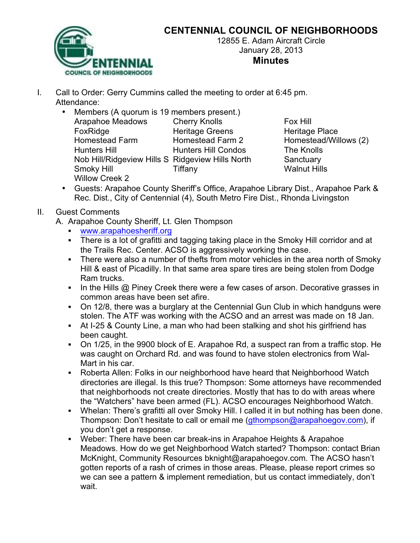

## **CENTENNIAL COUNCIL OF NEIGHBORHOODS**

12855 E. Adam Aircraft Circle January 28, 2013 **Minutes**

- I. Call to Order: Gerry Cummins called the meeting to order at 6:45 pm. Attendance:
	- Members (A quorum is 19 members present.) Arapahoe Meadows Cherry Knolls Fox Hill FoxRidge Heritage Greens Heritage Place Homestead Farm Homestead Farm 2 Homestead/Willows (2) Hunters Hill Hunters Hill Condos The Knolls Nob Hill/Ridgeview Hills S Ridgeview Hills North Sanctuary Smoky Hill **Tiffany** Times The Walnut Hills Willow Creek 2

• Guests: Arapahoe County Sheriff's Office, Arapahoe Library Dist., Arapahoe Park & Rec. Dist., City of Centennial (4), South Metro Fire Dist., Rhonda Livingston

## II. Guest Comments

- A. Arapahoe County Sheriff, Lt. Glen Thompson
	- ! www.arapahoesheriff.org
	- ! There is a lot of grafitti and tagging taking place in the Smoky Hill corridor and at the Trails Rec. Center. ACSO is aggressively working the case.
	- ! There were also a number of thefts from motor vehicles in the area north of Smoky Hill & east of Picadilly. In that same area spare tires are being stolen from Dodge Ram trucks.
	- ! In the Hills @ Piney Creek there were a few cases of arson. Decorative grasses in common areas have been set afire.
	- ! On 12/8, there was a burglary at the Centennial Gun Club in which handguns were stolen. The ATF was working with the ACSO and an arrest was made on 18 Jan.
	- ! At I-25 & County Line, a man who had been stalking and shot his girlfriend has been caught.
	- ! On 1/25, in the 9900 block of E. Arapahoe Rd, a suspect ran from a traffic stop. He was caught on Orchard Rd. and was found to have stolen electronics from Wal-Mart in his car.
	- ! Roberta Allen: Folks in our neighborhood have heard that Neighborhood Watch directories are illegal. Is this true? Thompson: Some attorneys have recommended that neighborhoods not create directories. Mostly that has to do with areas where the "Watchers" have been armed (FL). ACSO encourages Neighborhood Watch.
	- ! Whelan: There's grafitti all over Smoky Hill. I called it in but nothing has been done. Thompson: Don't hesitate to call or email me (gthompson@arapahoegov.com), if you don't get a response.
	- ! Weber: There have been car break-ins in Arapahoe Heights & Arapahoe Meadows. How do we get Neighborhood Watch started? Thompson: contact Brian McKnight, Community Resources bknight@arapahoegov.com. The ACSO hasn't gotten reports of a rash of crimes in those areas. Please, please report crimes so we can see a pattern & implement remediation, but us contact immediately, don't wait.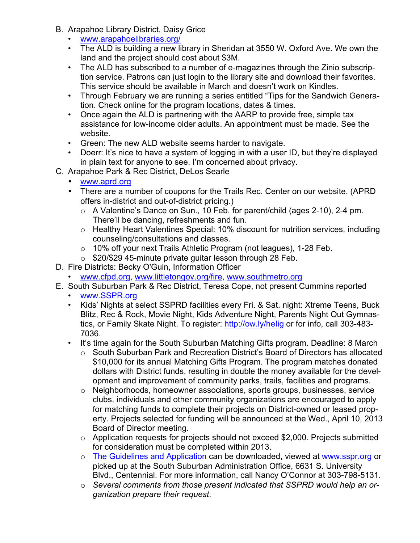- B. Arapahoe Library District, Daisy Grice
	- www.arapahoelibraries.org/
	- The ALD is building a new library in Sheridan at 3550 W. Oxford Ave. We own the land and the project should cost about \$3M.
	- The ALD has subscribed to a number of e-magazines through the Zinio subscription service. Patrons can just login to the library site and download their favorites. This service should be available in March and doesn't work on Kindles.
	- Through February we are running a series entitled "Tips for the Sandwich Generation. Check online for the program locations, dates & times.
	- Once again the ALD is partnering with the AARP to provide free, simple tax assistance for low-income older adults. An appointment must be made. See the website.
	- Green: The new ALD website seems harder to navigate.
	- Doerr: It's nice to have a system of logging in with a user ID, but they're displayed in plain text for anyone to see. I'm concerned about privacy.
- C. Arapahoe Park & Rec District, DeLos Searle
	- www.aprd.org
	- There are a number of coupons for the Trails Rec. Center on our website. (APRD offers in-district and out-of-district pricing.)
		- o A Valentine's Dance on Sun., 10 Feb. for parent/child (ages 2-10), 2-4 pm. There'll be dancing, refreshments and fun.
		- o Healthy Heart Valentines Special: 10% discount for nutrition services, including counseling/consultations and classes.
		- o 10% off your next Trails Athletic Program (not leagues), 1-28 Feb.
		- $\circ$  \$20/\$29 45-minute private guitar lesson through 28 Feb.
- D. Fire Districts: Becky O'Guin, Information Officer
	- www.cfpd.org, www.littletongov.org/fire, www.southmetro.org
- E. South Suburban Park & Rec District, Teresa Cope, not present Cummins reported
	- www.SSPR.org
	- Kids' Nights at select SSPRD facilities every Fri. & Sat. night: Xtreme Teens, Buck Blitz, Rec & Rock, Movie Night, Kids Adventure Night, Parents Night Out Gymnastics, or Family Skate Night. To register: http://ow.ly/helig or for info, call 303-483-7036.
	- It's time again for the South Suburban Matching Gifts program. Deadline: 8 March
		- $\circ$  South Suburban Park and Recreation District's Board of Directors has allocated \$10,000 for its annual Matching Gifts Program. The program matches donated dollars with District funds, resulting in double the money available for the development and improvement of community parks, trails, facilities and programs.
		- o Neighborhoods, homeowner associations, sports groups, businesses, service clubs, individuals and other community organizations are encouraged to apply for matching funds to complete their projects on District-owned or leased property. Projects selected for funding will be announced at the Wed., April 10, 2013 Board of Director meeting.
		- o Application requests for projects should not exceed \$2,000. Projects submitted for consideration must be completed within 2013.
		- o The Guidelines and Application can be downloaded, viewed at www.sspr.org or picked up at the South Suburban Administration Office, 6631 S. University Blvd., Centennial. For more information, call Nancy O'Connor at 303-798-5131.
		- o *Several comments from those present indicated that SSPRD would help an organization prepare their request*.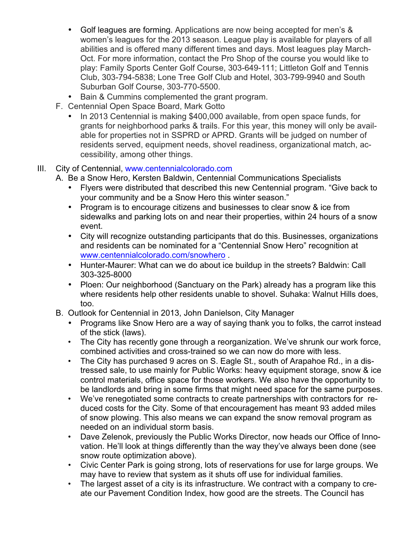- Golf leagues are forming. Applications are now being accepted for men's & women's leagues for the 2013 season. League play is available for players of all abilities and is offered many different times and days. Most leagues play March-Oct. For more information, contact the Pro Shop of the course you would like to play: Family Sports Center Golf Course, 303-649-111; Littleton Golf and Tennis Club, 303-794-5838; Lone Tree Golf Club and Hotel, 303-799-9940 and South Suburban Golf Course, 303-770-5500.
- Bain & Cummins complemented the grant program.
- F. Centennial Open Space Board, Mark Gotto
	- In 2013 Centennial is making \$400,000 available, from open space funds, for grants for neighborhood parks & trails. For this year, this money will only be available for properties not in SSPRD or APRD. Grants will be judged on number of residents served, equipment needs, shovel readiness, organizational match, accessibility, among other things.
- III. City of Centennial, www.centennialcolorado.com
	- A. Be a Snow Hero, Kersten Baldwin, Centennial Communications Specialists
		- Flyers were distributed that described this new Centennial program. "Give back to your community and be a Snow Hero this winter season."
		- Program is to encourage citizens and businesses to clear snow & ice from sidewalks and parking lots on and near their properties, within 24 hours of a snow event.
		- City will recognize outstanding participants that do this. Businesses, organizations and residents can be nominated for a "Centennial Snow Hero" recognition at www.centennialcolorado.com/snowhero .
		- Hunter-Maurer: What can we do about ice buildup in the streets? Baldwin: Call 303-325-8000
		- Ploen: Our neighborhood (Sanctuary on the Park) already has a program like this where residents help other residents unable to shovel. Suhaka: Walnut Hills does, too.
	- B. Outlook for Centennial in 2013, John Danielson, City Manager
		- Programs like Snow Hero are a way of saying thank you to folks, the carrot instead of the stick (laws).
		- The City has recently gone through a reorganization. We've shrunk our work force, combined activities and cross-trained so we can now do more with less.
		- The City has purchased 9 acres on S. Eagle St., south of Arapahoe Rd., in a distressed sale, to use mainly for Public Works: heavy equipment storage, snow & ice control materials, office space for those workers. We also have the opportunity to be landlords and bring in some firms that might need space for the same purposes.
		- We've renegotiated some contracts to create partnerships with contractors for reduced costs for the City. Some of that encouragement has meant 93 added miles of snow plowing. This also means we can expand the snow removal program as needed on an individual storm basis.
		- Dave Zelenok, previously the Public Works Director, now heads our Office of Innovation. He'll look at things differently than the way they've always been done (see snow route optimization above).
		- Civic Center Park is going strong, lots of reservations for use for large groups. We may have to review that system as it shuts off use for individual families.
		- The largest asset of a city is its infrastructure. We contract with a company to create our Pavement Condition Index, how good are the streets. The Council has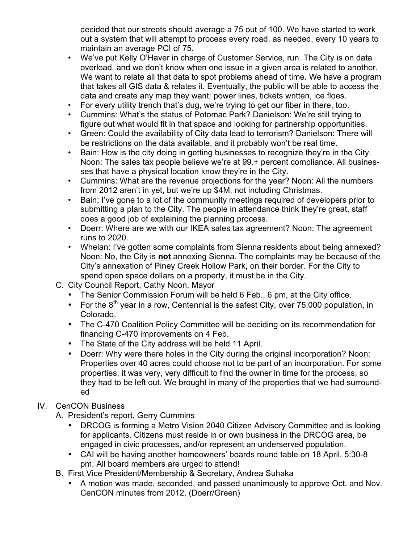decided that our streets should average a 75 out of 100. We have started to work out a system that will attempt to process every road, as needed, every 10 years to maintain an average PCI of 75.

- We've put Kelly O'Haver in charge of Customer Service, run. The City is on data overload, and we don't know when one issue in a given area is related to another. We want to relate all that data to spot problems ahead of time. We have a program that takes all GIS data & relates it. Eventually, the public will be able to access the data and create any map they want: power lines, tickets written, ice floes.
- For every utility trench that's dug, we're trying to get our fiber in there, too.
- Cummins: What's the status of Potomac Park? Danielson: We're still trying to figure out what would fit in that space and looking for partnership opportunities.
- Green: Could the availability of City data lead to terrorism? Danielson: There will be restrictions on the data available, and it probably won't be real time.
- Bain: How is the city doing in getting businesses to recognize they're in the City. Noon: The sales tax people believe we're at 99.+ percent compliance. All businesses that have a physical location know they're in the City.
- Cummins: What are the revenue projections for the year? Noon: All the numbers from 2012 aren't in yet, but we're up \$4M, not including Christmas.
- Bain: I've gone to a lot of the community meetings required of developers prior to submitting a plan to the City. The people in attendance think they're great, staff does a good job of explaining the planning process.
- Doerr: Where are we with our IKEA sales tax agreement? Noon: The agreement runs to 2020.
- Whelan: I've gotten some complaints from Sienna residents about being annexed? Noon: No, the City is **not** annexing Sienna. The complaints may be because of the City's annexation of Piney Creek Hollow Park, on their border. For the City to spend open space dollars on a property, it must be in the City.
- C. City Council Report, Cathy Noon, Mayor
	- The Senior Commission Forum will be held 6 Feb., 6 pm, at the City office.
	- For the  $8<sup>th</sup>$  year in a row, Centennial is the safest City, over 75,000 population, in Colorado.
	- The C-470 Coalition Policy Committee will be deciding on its recommendation for financing C-470 improvements on 4 Feb.
	- The State of the City address will be held 11 April.
	- Doerr: Why were there holes in the City during the original incorporation? Noon: Properties over 40 acres could choose not to be part of an incorporation. For some properties, it was very, very difficult to find the owner in time for the process, so they had to be left out. We brought in many of the properties that we had surrounded

## IV. CenCON Business

- A. President's report, Gerry Cummins
	- DRCOG is forming a Metro Vision 2040 Citizen Advisory Committee and is looking for applicants. Citizens must reside in or own business in the DRCOG area, be engaged in civic processes, and/or represent an underserved population.
	- CAI will be having another homeowners' boards round table on 18 April, 5:30-8 pm. All board members are urged to attend!
- B. First Vice President/Membership & Secretary, Andrea Suhaka
	- A motion was made, seconded, and passed unanimously to approve Oct. and Nov. CenCON minutes from 2012. (Doerr/Green)